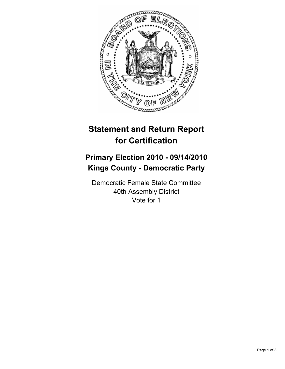

## **Statement and Return Report for Certification**

## **Primary Election 2010 - 09/14/2010 Kings County - Democratic Party**

Democratic Female State Committee 40th Assembly District Vote for 1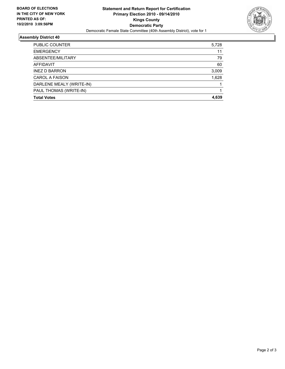

## **Assembly District 40**

| <b>Total Votes</b>       | 4.639 |
|--------------------------|-------|
| PAUL THOMAS (WRITE-IN)   |       |
| DARLENE MEALY (WRITE-IN) |       |
| <b>CAROL A FAISON</b>    | 1,628 |
| <b>INEZ D BARRON</b>     | 3,009 |
| AFFIDAVIT                | 60    |
| ABSENTEE/MILITARY        | 79    |
| <b>EMERGENCY</b>         | 11    |
| PUBLIC COUNTER           | 5,728 |
|                          |       |